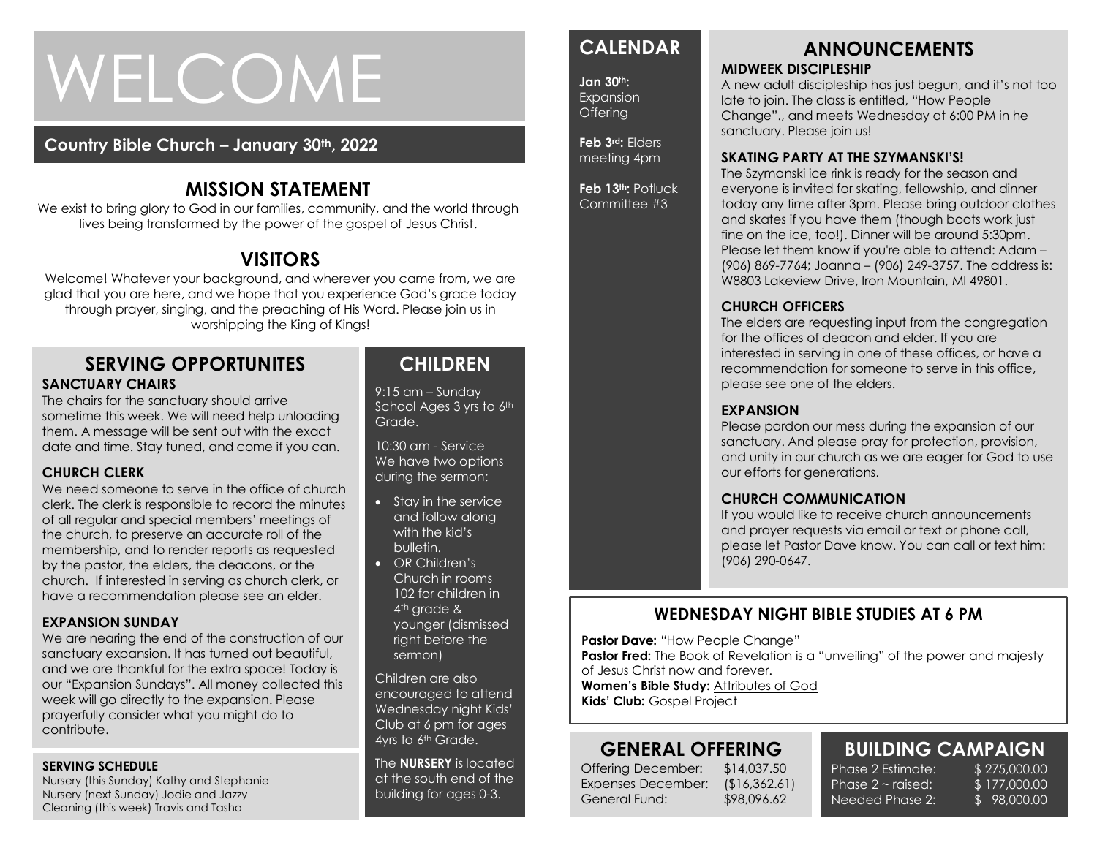# WELCOME

## **Country Bible Church – January 30th, 2022**

# **MISSION STATEMENT**

We exist to bring glory to God in our families, community, and the world through lives being transformed by the power of the gospel of Jesus Christ.

# **VISITORS**

Welcome! Whatever your background, and wherever you came from, we are glad that you are here, and we hope that you experience God's grace today through prayer, singing, and the preaching of His Word. Please join us in worshipping the King of Kings!

#### **SERVING OPPORTUNITES SANCTUARY CHAIRS**

The chairs for the sanctuary should arrive sometime this week. We will need help unloading them. A message will be sent out with the exact date and time. Stay tuned, and come if you can.

#### **CHURCH CLERK**

We need someone to serve in the office of church<br>clerk. The clerk is responsible to record the minutes We need someone to serve in the office of church of all regular and special members' meetings of the church, to preserve an accurate roll of the membership, and to render reports as requested by the pastor, the elders, the deacons, or the church. If interested in serving as church clerk, or have a recommendation please see an elder.

#### **EXPANSION SUNDAY**

We are nearing the end of the construction of our sanctuary expansion. It has turned out beautiful, and we are thankful for the extra space! Today is our "Expansion Sundays". All money collected this week will go directly to the expansion. Please prayerfully consider what you might do to contribute.

#### **SERVING SCHEDULE**

Nursery (this Sunday) Kathy and Stephanie Nursery (next Sunday) Jodie and Jazzy Cleaning (this week) Travis and Tasha

# **CHILDREN**

9:15 am – Sunday School Ages 3 yrs to 6th Grade.

10:30 am - Service We have two options during the sermon:

- Stay in the service and follow along with the kid's bulletin.
- OR Children's Church in rooms 102 for children in 4<sup>th</sup> arade & younger (dismissed right before the sermon)

Children are also encouraged to attend Wednesday night Kids' Club at 6 pm for ages 4yrs to 6th Grade.

The **NURSERY** is located at the south end of the building for ages 0-3.

# **CALENDAR**

**Jan 30th: Expansion** Offering

**Feb 3rd:** Elders meeting 4pm

**Feb 13th:** Potluck Committee #3

#### **ANNOUNCEMENTS MIDWEEK DISCIPLESHIP**

A new adult discipleship has just begun, and it's not too late to join. The class is entitled, "How People Change"., and meets Wednesday at 6:00 PM in he sanctuary. Please join us!

#### **SKATING PARTY AT THE SZYMANSKI'S!**

The Szymanski ice rink is ready for the season and everyone is invited for skating, fellowship, and dinner today any time after 3pm. Please bring outdoor clothes and skates if you have them (though boots work just fine on the ice, too!). Dinner will be around 5:30pm. Please let them know if you're able to attend: Adam – (906) 869-7764; Joanna – (906) 249-3757. The address is: W8803 Lakeview Drive, Iron Mountain, MI 49801.

#### **CHURCH OFFICERS**

The elders are requesting input from the congregation for the offices of deacon and elder. If you are interested in serving in one of these offices, or have a recommendation for someone to serve in this office, please see one of the elders.

#### **EXPANSION**

Please pardon our mess during the expansion of our sanctuary. And please pray for protection, provision, and unity in our church as we are eager for God to use our efforts for generations.

#### **CHURCH COMMUNICATION**

If you would like to receive church announcements and prayer requests via email or text or phone call, please let Pastor Dave know. You can call or text him: (906) 290-0647.

## **WEDNESDAY NIGHT BIBLE STUDIES AT 6 PM**

**Pastor Dave: "How People Change"** 

**Pastor Fred:** The Book of Revelation is a "unveiling" of the power and majesty of Jesus Christ now and forever.

**Women's Bible Study:** Attributes of God

**Kids' Club:** Gospel Project

# **GENERAL OFFERING**

Offering December: \$14,037.50 Expenses December: (\$16,362.61) General Fund: \$98,096.62

**BUILDING CAMPAIGN** Phase 2 Estimate: \$ 275,000.00 Phase  $2 \sim$  raised:

Needed Phase 2:

\$ 177,000.00 \$ 98,000.00